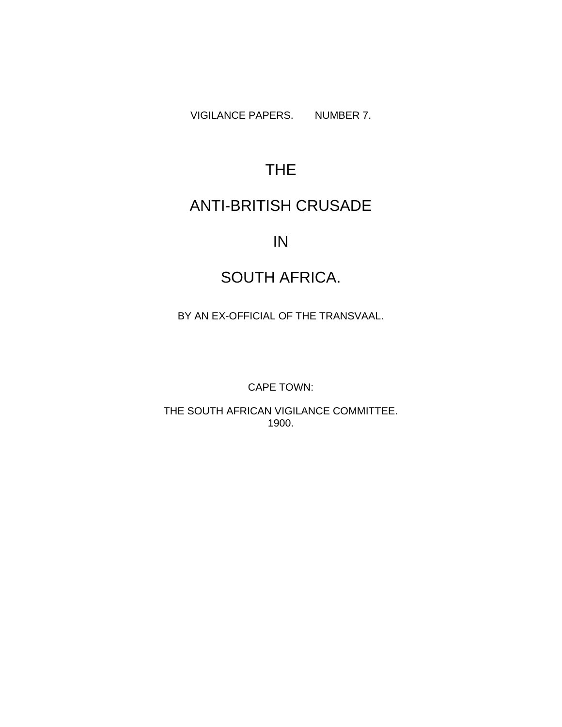VIGILANCE PAPERS. NUMBER 7.

# THE

## ANTI-BRITISH CRUSADE

## IN

# SOUTH AFRICA.

BY AN EX-OFFICIAL OF THE TRANSVAAL.

CAPE TOWN:

THE SOUTH AFRICAN VIGILANCE COMMITTEE. 1900.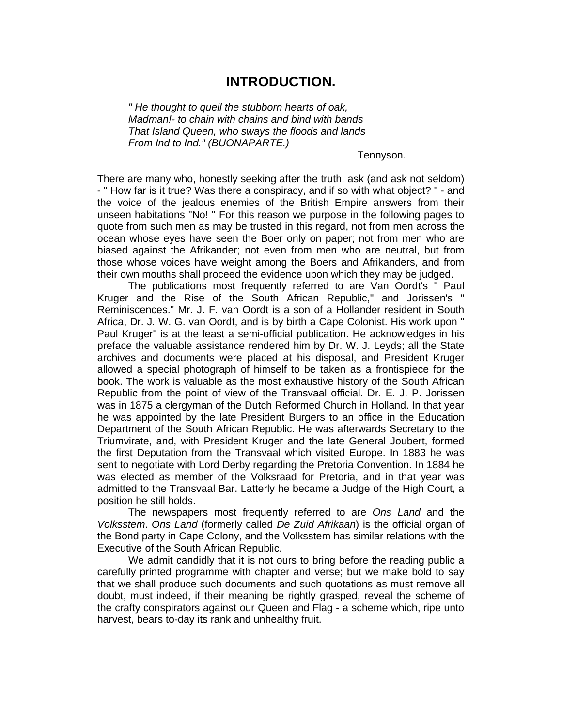### **INTRODUCTION.**

*" He thought to quell the stubborn hearts of oak, Madman!- to chain with chains and bind with bands That Island Queen, who sways the floods and lands From Ind to Ind." (BUONAPARTE.)* 

Tennyson.

There are many who, honestly seeking after the truth, ask (and ask not seldom) - " How far is it true? Was there a conspiracy, and if so with what object? " - and the voice of the jealous enemies of the British Empire answers from their unseen habitations "No! " For this reason we purpose in the following pages to quote from such men as may be trusted in this regard, not from men across the ocean whose eyes have seen the Boer only on paper; not from men who are biased against the Afrikander; not even from men who are neutral, but from those whose voices have weight among the Boers and Afrikanders, and from their own mouths shall proceed the evidence upon which they may be judged.

The publications most frequently referred to are Van Oordt's " Paul Kruger and the Rise of the South African Republic," and Jorissen's " Reminiscences." Mr. J. F. van Oordt is a son of a Hollander resident in South Africa, Dr. J. W. G. van Oordt, and is by birth a Cape Colonist. His work upon " Paul Kruger" is at the least a semi-official publication. He acknowledges in his preface the valuable assistance rendered him by Dr. W. J. Leyds; all the State archives and documents were placed at his disposal, and President Kruger allowed a special photograph of himself to be taken as a frontispiece for the book. The work is valuable as the most exhaustive history of the South African Republic from the point of view of the Transvaal official. Dr. E. J. P. Jorissen was in 1875 a clergyman of the Dutch Reformed Church in Holland. In that year he was appointed by the late President Burgers to an office in the Education Department of the South African Republic. He was afterwards Secretary to the Triumvirate, and, with President Kruger and the late General Joubert, formed the first Deputation from the Transvaal which visited Europe. In 1883 he was sent to negotiate with Lord Derby regarding the Pretoria Convention. In 1884 he was elected as member of the Volksraad for Pretoria, and in that year was admitted to the Transvaal Bar. Latterly he became a Judge of the High Court, a position he still holds.

The newspapers most frequently referred to are *Ons Land* and the *Volksstem*. *Ons Land* (formerly called *De Zuid Afrikaan*) is the official organ of the Bond party in Cape Colony, and the Volksstem has similar relations with the Executive of the South African Republic.

We admit candidly that it is not ours to bring before the reading public a carefully printed programme with chapter and verse; but we make bold to say that we shall produce such documents and such quotations as must remove all doubt, must indeed, if their meaning be rightly grasped, reveal the scheme of the crafty conspirators against our Queen and Flag - a scheme which, ripe unto harvest, bears to-day its rank and unhealthy fruit.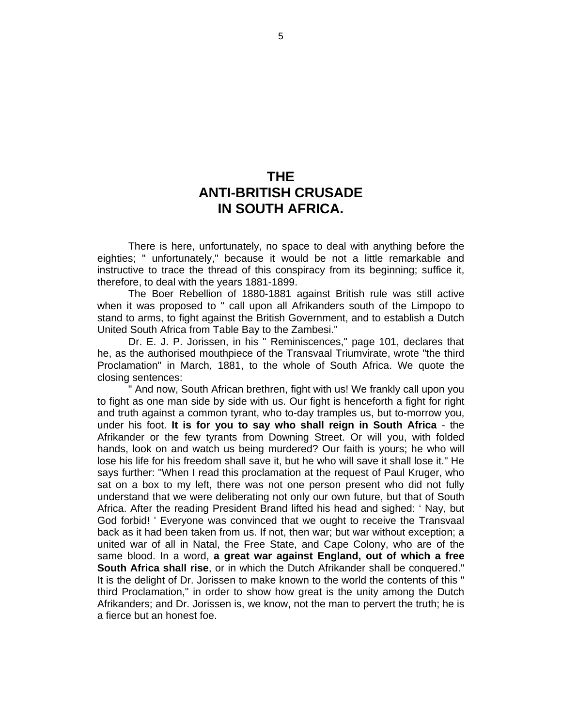## **THE ANTI-BRITISH CRUSADE IN SOUTH AFRICA.**

There is here, unfortunately, no space to deal with anything before the eighties; " unfortunately," because it would be not a little remarkable and instructive to trace the thread of this conspiracy from its beginning; suffice it, therefore, to deal with the years 1881-1899.

The Boer Rebellion of 1880-1881 against British rule was still active when it was proposed to " call upon all Afrikanders south of the Limpopo to stand to arms, to fight against the British Government, and to establish a Dutch United South Africa from Table Bay to the Zambesi."

Dr. E. J. P. Jorissen, in his " Reminiscences," page 101, declares that he, as the authorised mouthpiece of the Transvaal Triumvirate, wrote "the third Proclamation" in March, 1881, to the whole of South Africa. We quote the closing sentences:

" And now, South African brethren, fight with us! We frankly call upon you to fight as one man side by side with us. Our fight is henceforth a fight for right and truth against a common tyrant, who to-day tramples us, but to-morrow you, under his foot. **It is for you to say who shall reign in South Africa** - the Afrikander or the few tyrants from Downing Street. Or will you, with folded hands, look on and watch us being murdered? Our faith is yours; he who will lose his life for his freedom shall save it, but he who will save it shall lose it." He says further: "When I read this proclamation at the request of Paul Kruger, who sat on a box to my left, there was not one person present who did not fully understand that we were deliberating not only our own future, but that of South Africa. After the reading President Brand lifted his head and sighed: ' Nay, but God forbid! ' Everyone was convinced that we ought to receive the Transvaal back as it had been taken from us. If not, then war; but war without exception; a united war of all in Natal, the Free State, and Cape Colony, who are of the same blood. In a word, **a great war against England, out of which a free South Africa shall rise**, or in which the Dutch Afrikander shall be conquered." It is the delight of Dr. Jorissen to make known to the world the contents of this " third Proclamation," in order to show how great is the unity among the Dutch Afrikanders; and Dr. Jorissen is, we know, not the man to pervert the truth; he is a fierce but an honest foe.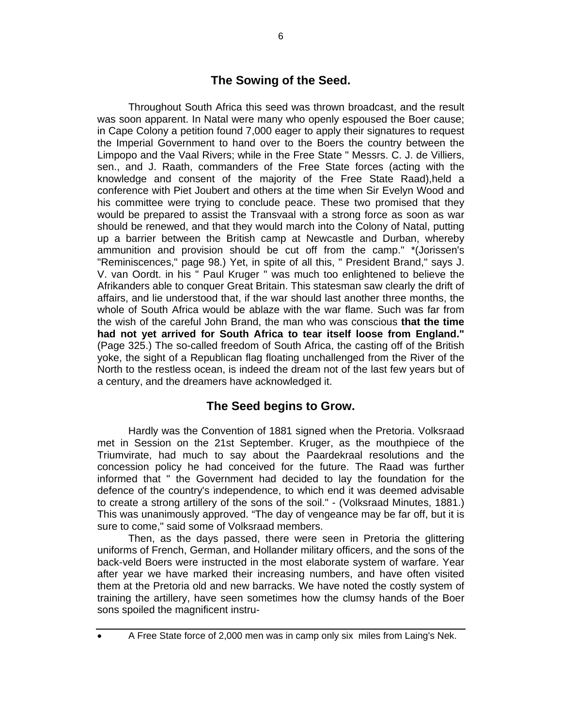#### **The Sowing of the Seed.**

Throughout South Africa this seed was thrown broadcast, and the result was soon apparent. In Natal were many who openly espoused the Boer cause; in Cape Colony a petition found 7,000 eager to apply their signatures to request the Imperial Government to hand over to the Boers the country between the Limpopo and the Vaal Rivers; while in the Free State " Messrs. C. J. de Villiers, sen., and J. Raath, commanders of the Free State forces (acting with the knowledge and consent of the majority of the Free State Raad),held a conference with Piet Joubert and others at the time when Sir Evelyn Wood and his committee were trying to conclude peace. These two promised that they would be prepared to assist the Transvaal with a strong force as soon as war should be renewed, and that they would march into the Colony of Natal, putting up a barrier between the British camp at Newcastle and Durban, whereby ammunition and provision should be cut off from the camp." \*(Jorissen's "Reminiscences," page 98.) Yet, in spite of all this, " President Brand," says J. V. van Oordt. in his " Paul Kruger " was much too enlightened to believe the Afrikanders able to conquer Great Britain. This statesman saw clearly the drift of affairs, and lie understood that, if the war should last another three months, the whole of South Africa would be ablaze with the war flame. Such was far from the wish of the careful John Brand, the man who was conscious **that the time had not yet arrived for South Africa to tear itself loose from England."** (Page 325.) The so-called freedom of South Africa, the casting off of the British yoke, the sight of a Republican flag floating unchallenged from the River of the North to the restless ocean, is indeed the dream not of the last few years but of a century, and the dreamers have acknowledged it.

#### **The Seed begins to Grow.**

Hardly was the Convention of 1881 signed when the Pretoria. Volksraad met in Session on the 21st September. Kruger, as the mouthpiece of the Triumvirate, had much to say about the Paardekraal resolutions and the concession policy he had conceived for the future. The Raad was further informed that " the Government had decided to lay the foundation for the defence of the country's independence, to which end it was deemed advisable to create a strong artillery of the sons of the soil." - (Volksraad Minutes, 1881.) This was unanimously approved. "The day of vengeance may be far off, but it is sure to come," said some of Volksraad members.

Then, as the days passed, there were seen in Pretoria the glittering uniforms of French, German, and Hollander military officers, and the sons of the back-veld Boers were instructed in the most elaborate system of warfare. Year after year we have marked their increasing numbers, and have often visited them at the Pretoria old and new barracks. We have noted the costly system of training the artillery, have seen sometimes how the clumsy hands of the Boer sons spoiled the magnificent instru-

• A Free State force of 2,000 men was in camp only six miles from Laing's Nek.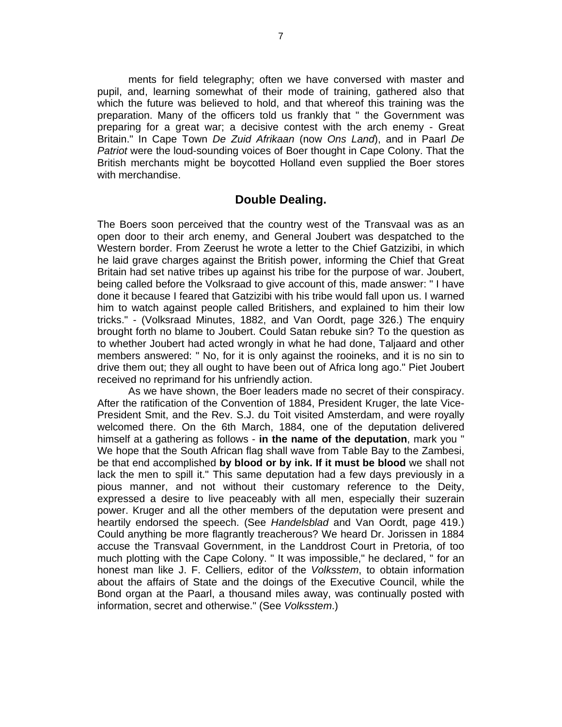ments for field telegraphy; often we have conversed with master and pupil, and, learning somewhat of their mode of training, gathered also that which the future was believed to hold, and that whereof this training was the preparation. Many of the officers told us frankly that " the Government was preparing for a great war; a decisive contest with the arch enemy - Great Britain." In Cape Town *De Zuid Afrikaan* (now *Ons Land*), and in Paarl *De Patriot* were the loud-sounding voices of Boer thought in Cape Colony. That the British merchants might be boycotted Holland even supplied the Boer stores with merchandise.

#### **Double Dealing.**

The Boers soon perceived that the country west of the Transvaal was as an open door to their arch enemy, and General Joubert was despatched to the Western border. From Zeerust he wrote a letter to the Chief Gatzizibi, in which he laid grave charges against the British power, informing the Chief that Great Britain had set native tribes up against his tribe for the purpose of war. Joubert, being called before the Volksraad to give account of this, made answer: " I have done it because I feared that Gatzizibi with his tribe would fall upon us. I warned him to watch against people called Britishers, and explained to him their low tricks." - (Volksraad Minutes, 1882, and Van Oordt, page 326.) The enquiry brought forth no blame to Joubert. Could Satan rebuke sin? To the question as to whether Joubert had acted wrongly in what he had done, Taljaard and other members answered: " No, for it is only against the rooineks, and it is no sin to drive them out; they all ought to have been out of Africa long ago." Piet Joubert received no reprimand for his unfriendly action.

As we have shown, the Boer leaders made no secret of their conspiracy. After the ratification of the Convention of 1884, President Kruger, the late Vice-President Smit, and the Rev. S.J. du Toit visited Amsterdam, and were royally welcomed there. On the 6th March, 1884, one of the deputation delivered himself at a gathering as follows - **in the name of the deputation**, mark you " We hope that the South African flag shall wave from Table Bay to the Zambesi, be that end accomplished **by blood or by ink. If it must be blood** we shall not lack the men to spill it." This same deputation had a few days previously in a pious manner, and not without their customary reference to the Deity, expressed a desire to live peaceably with all men, especially their suzerain power. Kruger and all the other members of the deputation were present and heartily endorsed the speech. (See *Handelsblad* and Van Oordt, page 419.) Could anything be more flagrantly treacherous? We heard Dr. Jorissen in 1884 accuse the Transvaal Government, in the Landdrost Court in Pretoria, of too much plotting with the Cape Colony. " It was impossible," he declared, " for an honest man like J. F. Celliers, editor of the *Volksstem*, to obtain information about the affairs of State and the doings of the Executive Council, while the Bond organ at the Paarl, a thousand miles away, was continually posted with information, secret and otherwise." (See *Volksstem*.)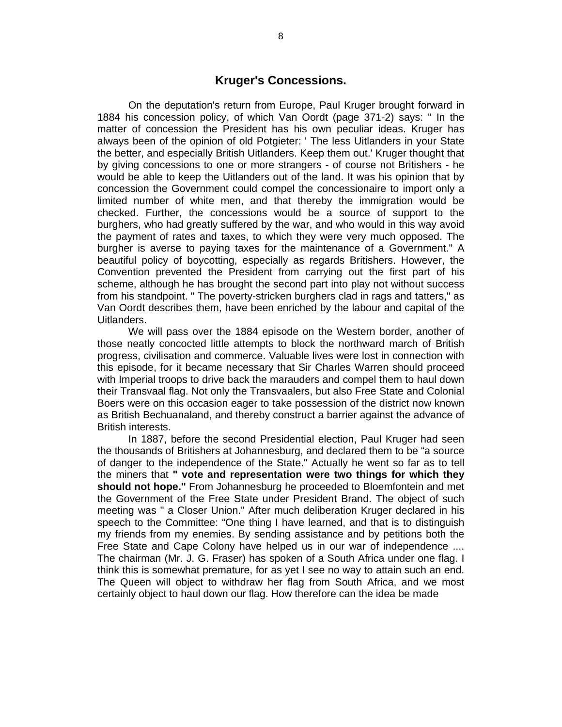#### **Kruger's Concessions.**

On the deputation's return from Europe, Paul Kruger brought forward in 1884 his concession policy, of which Van Oordt (page 371-2) says: " In the matter of concession the President has his own peculiar ideas. Kruger has always been of the opinion of old Potgieter: ' The less Uitlanders in your State the better, and especially British Uitlanders. Keep them out.' Kruger thought that by giving concessions to one or more strangers - of course not Britishers - he would be able to keep the Uitlanders out of the land. It was his opinion that by concession the Government could compel the concessionaire to import only a limited number of white men, and that thereby the immigration would be checked. Further, the concessions would be a source of support to the burghers, who had greatly suffered by the war, and who would in this way avoid the payment of rates and taxes, to which they were very much opposed. The burgher is averse to paying taxes for the maintenance of a Government." A beautiful policy of boycotting, especially as regards Britishers. However, the Convention prevented the President from carrying out the first part of his scheme, although he has brought the second part into play not without success from his standpoint. " The poverty-stricken burghers clad in rags and tatters," as Van Oordt describes them, have been enriched by the labour and capital of the Uitlanders.

We will pass over the 1884 episode on the Western border, another of those neatly concocted little attempts to block the northward march of British progress, civilisation and commerce. Valuable lives were lost in connection with this episode, for it became necessary that Sir Charles Warren should proceed with Imperial troops to drive back the marauders and compel them to haul down their Transvaal flag. Not only the Transvaalers, but also Free State and Colonial Boers were on this occasion eager to take possession of the district now known as British Bechuanaland, and thereby construct a barrier against the advance of British interests.

In 1887, before the second Presidential election, Paul Kruger had seen the thousands of Britishers at Johannesburg, and declared them to be "a source of danger to the independence of the State." Actually he went so far as to tell the miners that **" vote and representation were two things for which they should not hope."** From Johannesburg he proceeded to Bloemfontein and met the Government of the Free State under President Brand. The object of such meeting was " a Closer Union." After much deliberation Kruger declared in his speech to the Committee: "One thing I have learned, and that is to distinguish my friends from my enemies. By sending assistance and by petitions both the Free State and Cape Colony have helped us in our war of independence .... The chairman (Mr. J. G. Fraser) has spoken of a South Africa under one flag. I think this is somewhat premature, for as yet I see no way to attain such an end. The Queen will object to withdraw her flag from South Africa, and we most certainly object to haul down our flag. How therefore can the idea be made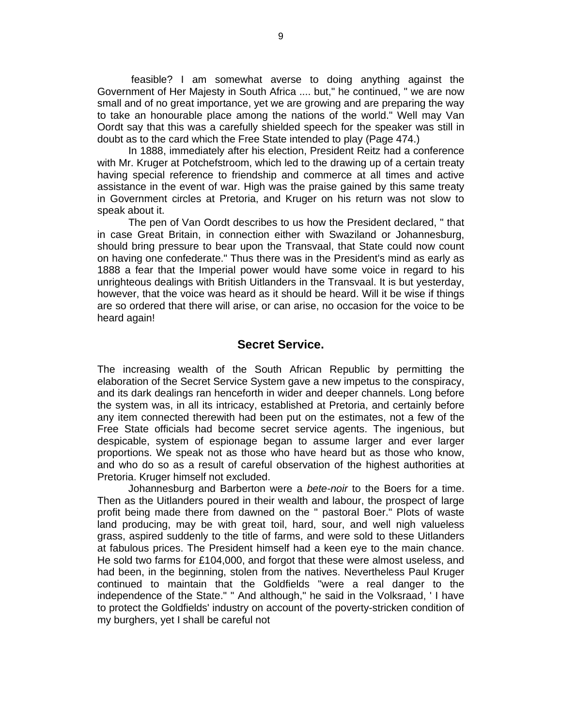feasible? I am somewhat averse to doing anything against the Government of Her Majesty in South Africa .... but," he continued, " we are now small and of no great importance, yet we are growing and are preparing the way to take an honourable place among the nations of the world." Well may Van Oordt say that this was a carefully shielded speech for the speaker was still in doubt as to the card which the Free State intended to play (Page 474.)

In 1888, immediately after his election, President Reitz had a conference with Mr. Kruger at Potchefstroom, which led to the drawing up of a certain treaty having special reference to friendship and commerce at all times and active assistance in the event of war. High was the praise gained by this same treaty in Government circles at Pretoria, and Kruger on his return was not slow to speak about it.

The pen of Van Oordt describes to us how the President declared, " that in case Great Britain, in connection either with Swaziland or Johannesburg, should bring pressure to bear upon the Transvaal, that State could now count on having one confederate." Thus there was in the President's mind as early as 1888 a fear that the Imperial power would have some voice in regard to his unrighteous dealings with British Uitlanders in the Transvaal. It is but yesterday, however, that the voice was heard as it should be heard. Will it be wise if things are so ordered that there will arise, or can arise, no occasion for the voice to be heard again!

#### **Secret Service.**

The increasing wealth of the South African Republic by permitting the elaboration of the Secret Service System gave a new impetus to the conspiracy, and its dark dealings ran henceforth in wider and deeper channels. Long before the system was, in all its intricacy, established at Pretoria, and certainly before any item connected therewith had been put on the estimates, not a few of the Free State officials had become secret service agents. The ingenious, but despicable, system of espionage began to assume larger and ever larger proportions. We speak not as those who have heard but as those who know, and who do so as a result of careful observation of the highest authorities at Pretoria. Kruger himself not excluded.

Johannesburg and Barberton were a *bete-noir* to the Boers for a time. Then as the Uitlanders poured in their wealth and labour, the prospect of large profit being made there from dawned on the " pastoral Boer." Plots of waste land producing, may be with great toil, hard, sour, and well nigh valueless grass, aspired suddenly to the title of farms, and were sold to these Uitlanders at fabulous prices. The President himself had a keen eye to the main chance. He sold two farms for £104,000, and forgot that these were almost useless, and had been, in the beginning, stolen from the natives. Nevertheless Paul Kruger continued to maintain that the Goldfields "were a real danger to the independence of the State." " And although," he said in the Volksraad, ' I have to protect the Goldfields' industry on account of the poverty-stricken condition of my burghers, yet I shall be careful not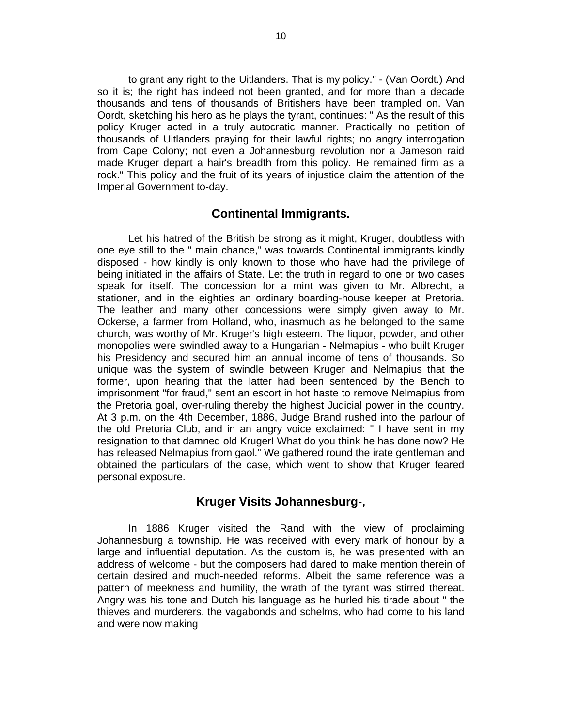to grant any right to the Uitlanders. That is my policy." - (Van Oordt.) And so it is; the right has indeed not been granted, and for more than a decade thousands and tens of thousands of Britishers have been trampled on. Van Oordt, sketching his hero as he plays the tyrant, continues: " As the result of this policy Kruger acted in a truly autocratic manner. Practically no petition of thousands of Uitlanders praying for their lawful rights; no angry interrogation from Cape Colony; not even a Johannesburg revolution nor a Jameson raid made Kruger depart a hair's breadth from this policy. He remained firm as a rock." This policy and the fruit of its years of injustice claim the attention of the Imperial Government to-day.

#### **Continental Immigrants.**

Let his hatred of the British be strong as it might, Kruger, doubtless with one eye still to the " main chance," was towards Continental immigrants kindly disposed - how kindly is only known to those who have had the privilege of being initiated in the affairs of State. Let the truth in regard to one or two cases speak for itself. The concession for a mint was given to Mr. Albrecht, a stationer, and in the eighties an ordinary boarding-house keeper at Pretoria. The leather and many other concessions were simply given away to Mr. Ockerse, a farmer from Holland, who, inasmuch as he belonged to the same church, was worthy of Mr. Kruger's high esteem. The liquor, powder, and other monopolies were swindled away to a Hungarian - Nelmapius - who built Kruger his Presidency and secured him an annual income of tens of thousands. So unique was the system of swindle between Kruger and Nelmapius that the former, upon hearing that the latter had been sentenced by the Bench to imprisonment "for fraud," sent an escort in hot haste to remove Nelmapius from the Pretoria goal, over-ruling thereby the highest Judicial power in the country. At 3 p.m. on the 4th December, 1886, Judge Brand rushed into the parlour of the old Pretoria Club, and in an angry voice exclaimed: " I have sent in my resignation to that damned old Kruger! What do you think he has done now? He has released Nelmapius from gaol." We gathered round the irate gentleman and obtained the particulars of the case, which went to show that Kruger feared personal exposure.

#### **Kruger Visits Johannesburg-,**

In 1886 Kruger visited the Rand with the view of proclaiming Johannesburg a township. He was received with every mark of honour by a large and influential deputation. As the custom is, he was presented with an address of welcome - but the composers had dared to make mention therein of certain desired and much-needed reforms. Albeit the same reference was a pattern of meekness and humility, the wrath of the tyrant was stirred thereat. Angry was his tone and Dutch his language as he hurled his tirade about " the thieves and murderers, the vagabonds and schelms, who had come to his land and were now making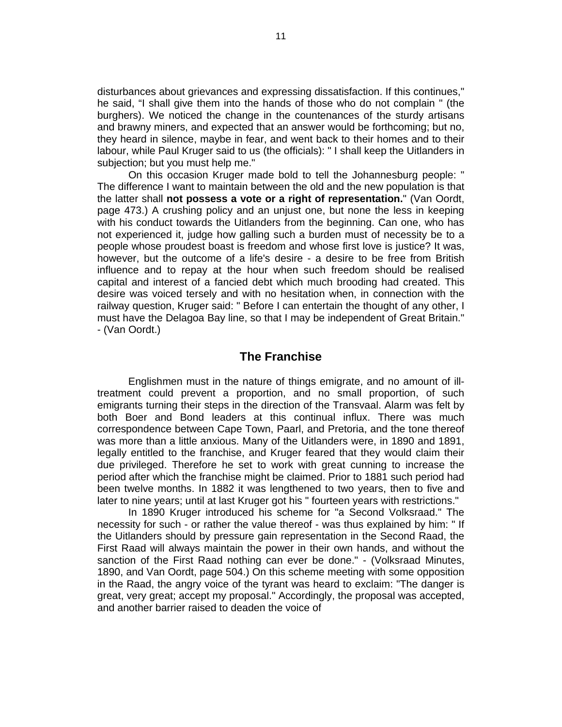disturbances about grievances and expressing dissatisfaction. If this continues," he said, "I shall give them into the hands of those who do not complain " (the burghers). We noticed the change in the countenances of the sturdy artisans and brawny miners, and expected that an answer would be forthcoming; but no, they heard in silence, maybe in fear, and went back to their homes and to their labour, while Paul Kruger said to us (the officials): " I shall keep the Uitlanders in subjection; but you must help me."

On this occasion Kruger made bold to tell the Johannesburg people: " The difference I want to maintain between the old and the new population is that the latter shall **not possess a vote or a right of representation.**" (Van Oordt, page 473.) A crushing policy and an unjust one, but none the less in keeping with his conduct towards the Uitlanders from the beginning. Can one, who has not experienced it, judge how galling such a burden must of necessity be to a people whose proudest boast is freedom and whose first love is justice? It was, however, but the outcome of a life's desire - a desire to be free from British influence and to repay at the hour when such freedom should be realised capital and interest of a fancied debt which much brooding had created. This desire was voiced tersely and with no hesitation when, in connection with the railway question, Kruger said: " Before I can entertain the thought of any other, I must have the Delagoa Bay line, so that I may be independent of Great Britain." - (Van Oordt.)

#### **The Franchise**

Englishmen must in the nature of things emigrate, and no amount of illtreatment could prevent a proportion, and no small proportion, of such emigrants turning their steps in the direction of the Transvaal. Alarm was felt by both Boer and Bond leaders at this continual influx. There was much correspondence between Cape Town, Paarl, and Pretoria, and the tone thereof was more than a little anxious. Many of the Uitlanders were, in 1890 and 1891, legally entitled to the franchise, and Kruger feared that they would claim their due privileged. Therefore he set to work with great cunning to increase the period after which the franchise might be claimed. Prior to 1881 such period had been twelve months. In 1882 it was lengthened to two years, then to five and later to nine years; until at last Kruger got his " fourteen years with restrictions."

In 1890 Kruger introduced his scheme for "a Second Volksraad." The necessity for such - or rather the value thereof - was thus explained by him: " If the Uitlanders should by pressure gain representation in the Second Raad, the First Raad will always maintain the power in their own hands, and without the sanction of the First Raad nothing can ever be done." - (Volksraad Minutes, 1890, and Van Oordt, page 504.) On this scheme meeting with some opposition in the Raad, the angry voice of the tyrant was heard to exclaim: "The danger is great, very great; accept my proposal." Accordingly, the proposal was accepted, and another barrier raised to deaden the voice of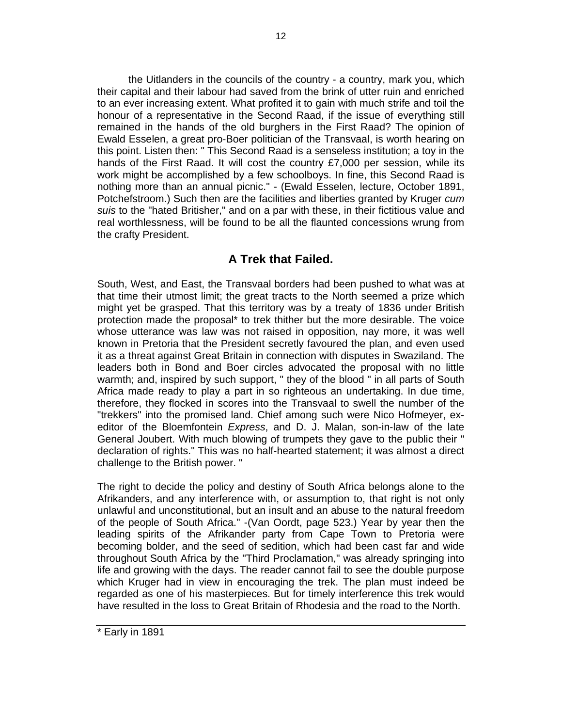the Uitlanders in the councils of the country - a country, mark you, which their capital and their labour had saved from the brink of utter ruin and enriched to an ever increasing extent. What profited it to gain with much strife and toil the honour of a representative in the Second Raad, if the issue of everything still remained in the hands of the old burghers in the First Raad? The opinion of Ewald Esselen, a great pro-Boer politician of the Transvaal, is worth hearing on this point. Listen then: " This Second Raad is a senseless institution; a toy in the hands of the First Raad. It will cost the country £7,000 per session, while its work might be accomplished by a few schoolboys. In fine, this Second Raad is nothing more than an annual picnic." - (Ewald Esselen, lecture, October 1891, Potchefstroom.) Such then are the facilities and liberties granted by Kruger *cum suis* to the "hated Britisher," and on a par with these, in their fictitious value and real worthlessness, will be found to be all the flaunted concessions wrung from the crafty President.

## **A Trek that Failed.**

South, West, and East, the Transvaal borders had been pushed to what was at that time their utmost limit; the great tracts to the North seemed a prize which might yet be grasped. That this territory was by a treaty of 1836 under British protection made the proposal\* to trek thither but the more desirable. The voice whose utterance was law was not raised in opposition, nay more, it was well known in Pretoria that the President secretly favoured the plan, and even used it as a threat against Great Britain in connection with disputes in Swaziland. The leaders both in Bond and Boer circles advocated the proposal with no little warmth; and, inspired by such support, " they of the blood " in all parts of South Africa made ready to play a part in so righteous an undertaking. In due time, therefore, they flocked in scores into the Transvaal to swell the number of the "trekkers" into the promised land. Chief among such were Nico Hofmeyer, exeditor of the Bloemfontein *Express*, and D. J. Malan, son-in-law of the late General Joubert. With much blowing of trumpets they gave to the public their " declaration of rights." This was no half-hearted statement; it was almost a direct challenge to the British power. "

The right to decide the policy and destiny of South Africa belongs alone to the Afrikanders, and any interference with, or assumption to, that right is not only unlawful and unconstitutional, but an insult and an abuse to the natural freedom of the people of South Africa." -(Van Oordt, page 523.) Year by year then the leading spirits of the Afrikander party from Cape Town to Pretoria were becoming bolder, and the seed of sedition, which had been cast far and wide throughout South Africa by the "Third Proclamation," was already springing into life and growing with the days. The reader cannot fail to see the double purpose which Kruger had in view in encouraging the trek. The plan must indeed be regarded as one of his masterpieces. But for timely interference this trek would have resulted in the loss to Great Britain of Rhodesia and the road to the North.

<sup>\*</sup> Early in 1891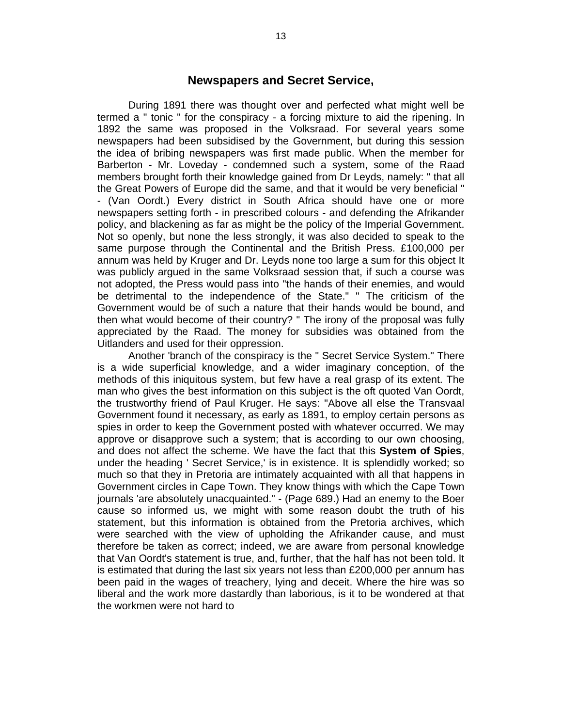#### **Newspapers and Secret Service,**

During 1891 there was thought over and perfected what might well be termed a " tonic " for the conspiracy - a forcing mixture to aid the ripening. In 1892 the same was proposed in the Volksraad. For several years some newspapers had been subsidised by the Government, but during this session the idea of bribing newspapers was first made public. When the member for Barberton - Mr. Loveday - condemned such a system, some of the Raad members brought forth their knowledge gained from Dr Leyds, namely: " that all the Great Powers of Europe did the same, and that it would be very beneficial " - (Van Oordt.) Every district in South Africa should have one or more newspapers setting forth - in prescribed colours - and defending the Afrikander policy, and blackening as far as might be the policy of the Imperial Government. Not so openly, but none the less strongly, it was also decided to speak to the same purpose through the Continental and the British Press. £100,000 per annum was held by Kruger and Dr. Leyds none too large a sum for this object It was publicly argued in the same Volksraad session that, if such a course was not adopted, the Press would pass into "the hands of their enemies, and would be detrimental to the independence of the State." " The criticism of the Government would be of such a nature that their hands would be bound, and then what would become of their country? " The irony of the proposal was fully appreciated by the Raad. The money for subsidies was obtained from the Uitlanders and used for their oppression.

Another 'branch of the conspiracy is the " Secret Service System." There is a wide superficial knowledge, and a wider imaginary conception, of the methods of this iniquitous system, but few have a real grasp of its extent. The man who gives the best information on this subject is the oft quoted Van Oordt, the trustworthy friend of Paul Kruger. He says: "Above all else the Transvaal Government found it necessary, as early as 1891, to employ certain persons as spies in order to keep the Government posted with whatever occurred. We may approve or disapprove such a system; that is according to our own choosing, and does not affect the scheme. We have the fact that this **System of Spies**, under the heading ' Secret Service,' is in existence. It is splendidly worked; so much so that they in Pretoria are intimately acquainted with all that happens in Government circles in Cape Town. They know things with which the Cape Town journals 'are absolutely unacquainted." - (Page 689.) Had an enemy to the Boer cause so informed us, we might with some reason doubt the truth of his statement, but this information is obtained from the Pretoria archives, which were searched with the view of upholding the Afrikander cause, and must therefore be taken as correct; indeed, we are aware from personal knowledge that Van Oordt's statement is true, and, further, that the half has not been told. It is estimated that during the last six years not less than £200,000 per annum has been paid in the wages of treachery, lying and deceit. Where the hire was so liberal and the work more dastardly than laborious, is it to be wondered at that the workmen were not hard to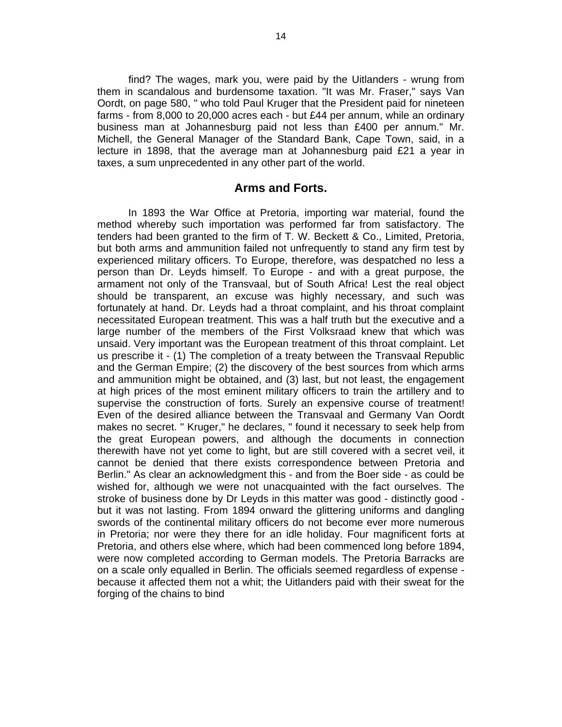find? The wages, mark you, were paid by the Uitlanders - wrung from them in scandalous and burdensome taxation. "It was Mr. Fraser," says Van Oordt, on page 580, " who told Paul Kruger that the President paid for nineteen farms - from 8,000 to 20,000 acres each - but £44 per annum, while an ordinary business man at Johannesburg paid not less than £400 per annum." Mr. Michell, the General Manager of the Standard Bank, Cape Town, said, in a lecture in 1898, that the average man at Johannesburg paid £21 a year in taxes, a sum unprecedented in any other part of the world.

#### **Arms and Forts.**

In 1893 the War Office at Pretoria, importing war material, found the method whereby such importation was performed far from satisfactory. The tenders had been granted to the firm of T. W. Beckett & Co., Limited, Pretoria, but both arms and ammunition failed not unfrequently to stand any firm test by experienced military officers. To Europe, therefore, was despatched no less a person than Dr. Leyds himself. To Europe - and with a great purpose, the armament not only of the Transvaal, but of South Africa! Lest the real object should be transparent, an excuse was highly necessary, and such was fortunately at hand. Dr. Leyds had a throat complaint, and his throat complaint necessitated European treatment. This was a half truth but the executive and a large number of the members of the First Volksraad knew that which was unsaid. Very important was the European treatment of this throat complaint. Let us prescribe it - (1) The completion of a treaty between the Transvaal Republic and the German Empire; (2) the discovery of the best sources from which arms and ammunition might be obtained, and (3) last, but not least, the engagement at high prices of the most eminent military officers to train the artillery and to supervise the construction of forts. Surely an expensive course of treatment! Even of the desired alliance between the Transvaal and Germany Van Oordt makes no secret. " Kruger," he declares, " found it necessary to seek help from the great European powers, and although the documents in connection therewith have not yet come to light, but are still covered with a secret veil, it cannot be denied that there exists correspondence between Pretoria and Berlin." As clear an acknowledgment this - and from the Boer side - as could be wished for, although we were not unacquainted with the fact ourselves. The stroke of business done by Dr Leyds in this matter was good - distinctly good but it was not lasting. From 1894 onward the glittering uniforms and dangling swords of the continental military officers do not become ever more numerous in Pretoria; nor were they there for an idle holiday. Four magnificent forts at Pretoria, and others else where, which had been commenced long before 1894, were now completed according to German models. The Pretoria Barracks are on a scale only equalled in Berlin. The officials seemed regardless of expense because it affected them not a whit; the Uitlanders paid with their sweat for the forging of the chains to bind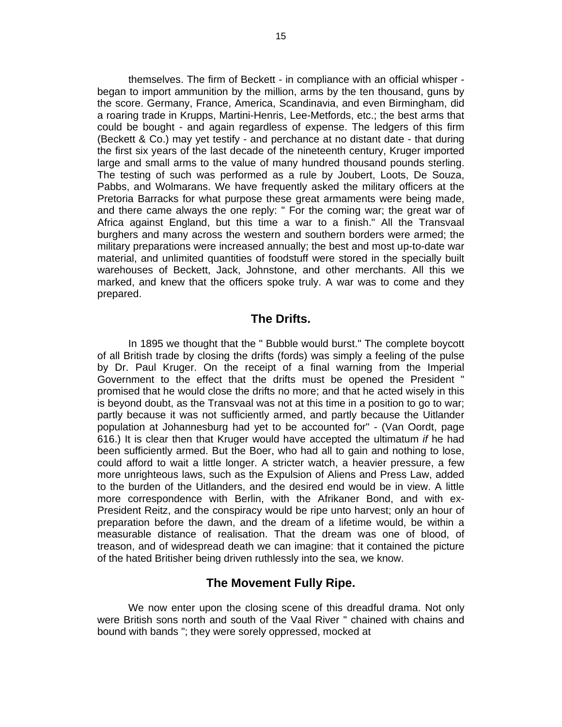themselves. The firm of Beckett - in compliance with an official whisper began to import ammunition by the million, arms by the ten thousand, guns by the score. Germany, France, America, Scandinavia, and even Birmingham, did a roaring trade in Krupps, Martini-Henris, Lee-Metfords, etc.; the best arms that could be bought - and again regardless of expense. The ledgers of this firm (Beckett & Co.) may yet testify - and perchance at no distant date - that during the first six years of the last decade of the nineteenth century, Kruger imported large and small arms to the value of many hundred thousand pounds sterling. The testing of such was performed as a rule by Joubert, Loots, De Souza, Pabbs, and Wolmarans. We have frequently asked the military officers at the Pretoria Barracks for what purpose these great armaments were being made, and there came always the one reply: " For the coming war; the great war of Africa against England, but this time a war to a finish." All the Transvaal burghers and many across the western and southern borders were armed; the military preparations were increased annually; the best and most up-to-date war material, and unlimited quantities of foodstuff were stored in the specially built warehouses of Beckett, Jack, Johnstone, and other merchants. All this we marked, and knew that the officers spoke truly. A war was to come and they prepared.

#### **The Drifts.**

In 1895 we thought that the " Bubble would burst." The complete boycott of all British trade by closing the drifts (fords) was simply a feeling of the pulse by Dr. Paul Kruger. On the receipt of a final warning from the Imperial Government to the effect that the drifts must be opened the President " promised that he would close the drifts no more; and that he acted wisely in this is beyond doubt, as the Transvaal was not at this time in a position to go to war; partly because it was not sufficiently armed, and partly because the Uitlander population at Johannesburg had yet to be accounted for" - (Van Oordt, page 616.) It is clear then that Kruger would have accepted the ultimatum *if* he had been sufficiently armed. But the Boer, who had all to gain and nothing to lose, could afford to wait a little longer. A stricter watch, a heavier pressure, a few more unrighteous laws, such as the Expulsion of Aliens and Press Law, added to the burden of the Uitlanders, and the desired end would be in view. A little more correspondence with Berlin, with the Afrikaner Bond, and with ex-President Reitz, and the conspiracy would be ripe unto harvest; only an hour of preparation before the dawn, and the dream of a lifetime would, be within a measurable distance of realisation. That the dream was one of blood, of treason, and of widespread death we can imagine: that it contained the picture of the hated Britisher being driven ruthlessly into the sea, we know.

#### **The Movement Fully Ripe.**

We now enter upon the closing scene of this dreadful drama. Not only were British sons north and south of the Vaal River " chained with chains and bound with bands "; they were sorely oppressed, mocked at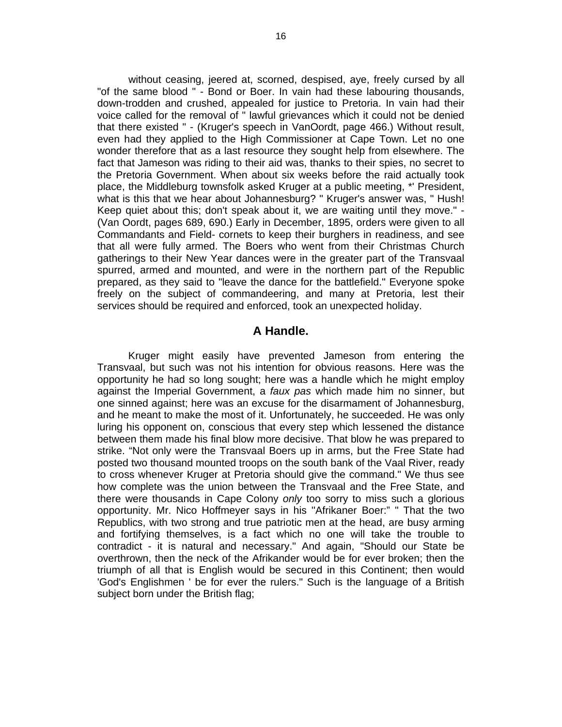without ceasing, jeered at, scorned, despised, aye, freely cursed by all "of the same blood " - Bond or Boer. In vain had these labouring thousands, down-trodden and crushed, appealed for justice to Pretoria. In vain had their voice called for the removal of " lawful grievances which it could not be denied that there existed " - (Kruger's speech in VanOordt, page 466.) Without result, even had they applied to the High Commissioner at Cape Town. Let no one wonder therefore that as a last resource they sought help from elsewhere. The fact that Jameson was riding to their aid was, thanks to their spies, no secret to the Pretoria Government. When about six weeks before the raid actually took place, the Middleburg townsfolk asked Kruger at a public meeting, \*' President, what is this that we hear about Johannesburg? " Kruger's answer was, " Hush! Keep quiet about this; don't speak about it, we are waiting until they move." - (Van Oordt, pages 689, 690.) Early in December, 1895, orders were given to all Commandants and Field- cornets to keep their burghers in readiness, and see that all were fully armed. The Boers who went from their Christmas Church gatherings to their New Year dances were in the greater part of the Transvaal spurred, armed and mounted, and were in the northern part of the Republic prepared, as they said to "leave the dance for the battlefield." Everyone spoke freely on the subject of commandeering, and many at Pretoria, lest their services should be required and enforced, took an unexpected holiday.

#### **A Handle.**

Kruger might easily have prevented Jameson from entering the Transvaal, but such was not his intention for obvious reasons. Here was the opportunity he had so long sought; here was a handle which he might employ against the Imperial Government, a *faux pas* which made him no sinner, but one sinned against; here was an excuse for the disarmament of Johannesburg, and he meant to make the most of it. Unfortunately, he succeeded. He was only luring his opponent on, conscious that every step which lessened the distance between them made his final blow more decisive. That blow he was prepared to strike. "Not only were the Transvaal Boers up in arms, but the Free State had posted two thousand mounted troops on the south bank of the Vaal River, ready to cross whenever Kruger at Pretoria should give the command." We thus see how complete was the union between the Transvaal and the Free State, and there were thousands in Cape Colony *only* too sorry to miss such a glorious opportunity. Mr. Nico Hoffmeyer says in his ''Afrikaner Boer:" " That the two Republics, with two strong and true patriotic men at the head, are busy arming and fortifying themselves, is a fact which no one will take the trouble to contradict - it is natural and necessary." And again, "Should our State be overthrown, then the neck of the Afrikander would be for ever broken; then the triumph of all that is English would be secured in this Continent; then would 'God's Englishmen ' be for ever the rulers." Such is the language of a British subject born under the British flag;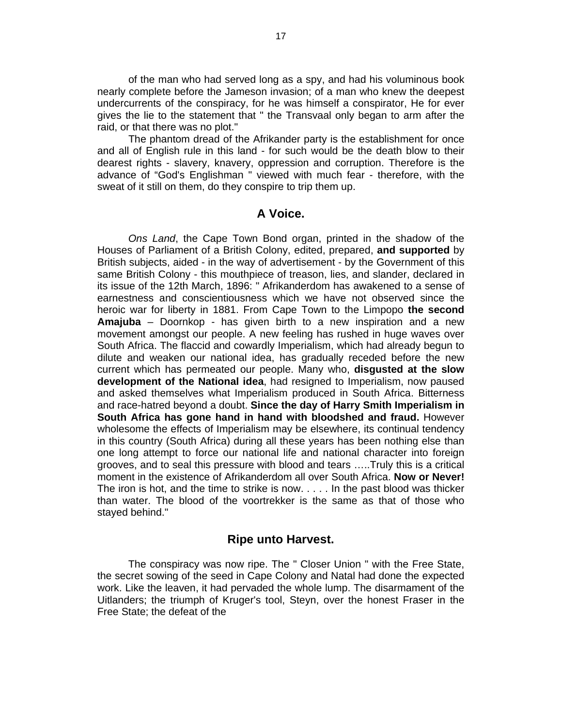of the man who had served long as a spy, and had his voluminous book nearly complete before the Jameson invasion; of a man who knew the deepest undercurrents of the conspiracy, for he was himself a conspirator, He for ever gives the lie to the statement that " the Transvaal only began to arm after the raid, or that there was no plot."

The phantom dread of the Afrikander party is the establishment for once and all of English rule in this land - for such would be the death blow to their dearest rights - slavery, knavery, oppression and corruption. Therefore is the advance of "God's Englishman " viewed with much fear - therefore, with the sweat of it still on them, do they conspire to trip them up.

#### **A Voice.**

*Ons Land*, the Cape Town Bond organ, printed in the shadow of the Houses of Parliament of a British Colony, edited, prepared, **and supported** by British subjects, aided - in the way of advertisement - by the Government of this same British Colony - this mouthpiece of treason, lies, and slander, declared in its issue of the 12th March, 1896: " Afrikanderdom has awakened to a sense of earnestness and conscientiousness which we have not observed since the heroic war for liberty in 1881. From Cape Town to the Limpopo **the second Amajuba** – Doornkop - has given birth to a new inspiration and a new movement amongst our people. A new feeling has rushed in huge waves over South Africa. The flaccid and cowardly Imperialism, which had already begun to dilute and weaken our national idea, has gradually receded before the new current which has permeated our people. Many who, **disgusted at the slow development of the National idea**, had resigned to Imperialism, now paused and asked themselves what Imperialism produced in South Africa. Bitterness and race-hatred beyond a doubt. **Since the day of Harry Smith Imperialism in South Africa has gone hand in hand with bloodshed and fraud.** However wholesome the effects of Imperialism may be elsewhere, its continual tendency in this country (South Africa) during all these years has been nothing else than one long attempt to force our national life and national character into foreign grooves, and to seal this pressure with blood and tears …..Truly this is a critical moment in the existence of Afrikanderdom all over South Africa. **Now or Never!** The iron is hot, and the time to strike is now. . . . . In the past blood was thicker than water. The blood of the voortrekker is the same as that of those who stayed behind."

#### **Ripe unto Harvest.**

The conspiracy was now ripe. The " Closer Union " with the Free State, the secret sowing of the seed in Cape Colony and Natal had done the expected work. Like the leaven, it had pervaded the whole lump. The disarmament of the Uitlanders; the triumph of Kruger's tool, Steyn, over the honest Fraser in the Free State; the defeat of the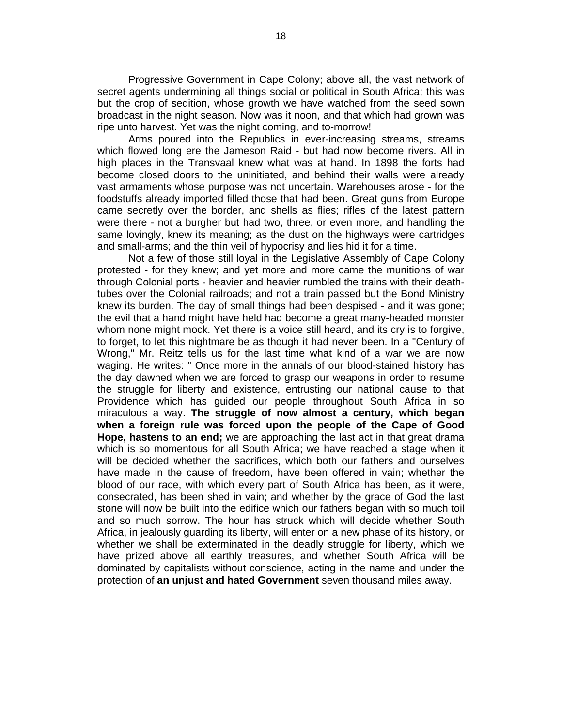Progressive Government in Cape Colony; above all, the vast network of secret agents undermining all things social or political in South Africa; this was but the crop of sedition, whose growth we have watched from the seed sown broadcast in the night season. Now was it noon, and that which had grown was ripe unto harvest. Yet was the night coming, and to-morrow!

Arms poured into the Republics in ever-increasing streams, streams which flowed long ere the Jameson Raid - but had now become rivers. All in high places in the Transvaal knew what was at hand. In 1898 the forts had become closed doors to the uninitiated, and behind their walls were already vast armaments whose purpose was not uncertain. Warehouses arose - for the foodstuffs already imported filled those that had been. Great guns from Europe came secretly over the border, and shells as flies; rifles of the latest pattern were there - not a burgher but had two, three, or even more, and handling the same lovingly, knew its meaning; as the dust on the highways were cartridges and small-arms; and the thin veil of hypocrisy and lies hid it for a time.

Not a few of those still loyal in the Legislative Assembly of Cape Colony protested - for they knew; and yet more and more came the munitions of war through Colonial ports - heavier and heavier rumbled the trains with their deathtubes over the Colonial railroads; and not a train passed but the Bond Ministry knew its burden. The day of small things had been despised - and it was gone; the evil that a hand might have held had become a great many-headed monster whom none might mock. Yet there is a voice still heard, and its cry is to forgive, to forget, to let this nightmare be as though it had never been. In a "Century of Wrong," Mr. Reitz tells us for the last time what kind of a war we are now waging. He writes: " Once more in the annals of our blood-stained history has the day dawned when we are forced to grasp our weapons in order to resume the struggle for liberty and existence, entrusting our national cause to that Providence which has guided our people throughout South Africa in so miraculous a way. **The struggle of now almost a century, which began when a foreign rule was forced upon the people of the Cape of Good Hope, hastens to an end;** we are approaching the last act in that great drama which is so momentous for all South Africa; we have reached a stage when it will be decided whether the sacrifices, which both our fathers and ourselves have made in the cause of freedom, have been offered in vain; whether the blood of our race, with which every part of South Africa has been, as it were, consecrated, has been shed in vain; and whether by the grace of God the last stone will now be built into the edifice which our fathers began with so much toil and so much sorrow. The hour has struck which will decide whether South Africa, in jealously guarding its liberty, will enter on a new phase of its history, or whether we shall be exterminated in the deadly struggle for liberty, which we have prized above all earthly treasures, and whether South Africa will be dominated by capitalists without conscience, acting in the name and under the protection of **an unjust and hated Government** seven thousand miles away.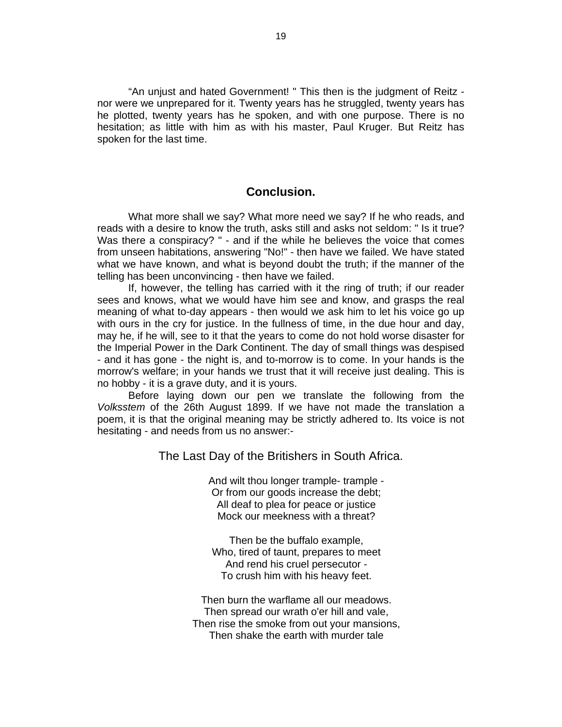"An unjust and hated Government! " This then is the judgment of Reitz nor were we unprepared for it. Twenty years has he struggled, twenty years has he plotted, twenty years has he spoken, and with one purpose. There is no hesitation; as little with him as with his master, Paul Kruger. But Reitz has spoken for the last time.

#### **Conclusion.**

What more shall we say? What more need we say? If he who reads, and reads with a desire to know the truth, asks still and asks not seldom: " Is it true? Was there a conspiracy? " - and if the while he believes the voice that comes from unseen habitations, answering "No!" - then have we failed. We have stated what we have known, and what is beyond doubt the truth; if the manner of the telling has been unconvincing - then have we failed.

If, however, the telling has carried with it the ring of truth; if our reader sees and knows, what we would have him see and know, and grasps the real meaning of what to-day appears - then would we ask him to let his voice go up with ours in the cry for justice. In the fullness of time, in the due hour and day, may he, if he will, see to it that the years to come do not hold worse disaster for the Imperial Power in the Dark Continent. The day of small things was despised - and it has gone - the night is, and to-morrow is to come. In your hands is the morrow's welfare; in your hands we trust that it will receive just dealing. This is no hobby - it is a grave duty, and it is yours.

Before laying down our pen we translate the following from the *Volksstem* of the 26th August 1899. If we have not made the translation a poem, it is that the original meaning may be strictly adhered to. Its voice is not hesitating - and needs from us no answer:-

The Last Day of the Britishers in South Africa.

And wilt thou longer trample- trample - Or from our goods increase the debt; All deaf to plea for peace or justice Mock our meekness with a threat?

Then be the buffalo example, Who, tired of taunt, prepares to meet And rend his cruel persecutor - To crush him with his heavy feet.

Then burn the warflame all our meadows. Then spread our wrath o'er hill and vale, Then rise the smoke from out your mansions, Then shake the earth with murder tale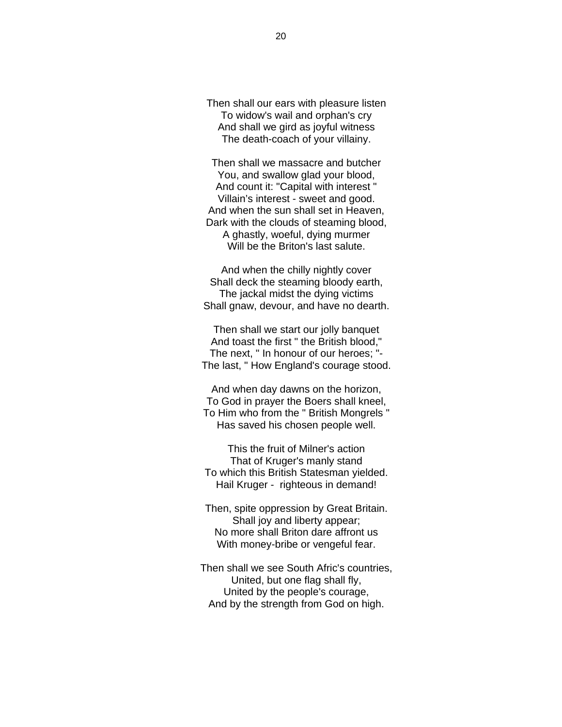Then shall our ears with pleasure listen To widow's wail and orphan's cry And shall we gird as joyful witness The death-coach of your villainy.

Then shall we massacre and butcher You, and swallow glad your blood, And count it: "Capital with interest " Villain's interest - sweet and good. And when the sun shall set in Heaven, Dark with the clouds of steaming blood, A ghastly, woeful, dying murmer Will be the Briton's last salute.

And when the chilly nightly cover Shall deck the steaming bloody earth, The jackal midst the dying victims Shall gnaw, devour, and have no dearth.

Then shall we start our jolly banquet And toast the first " the British blood," The next, " In honour of our heroes; "- The last, " How England's courage stood.

And when day dawns on the horizon, To God in prayer the Boers shall kneel, To Him who from the " British Mongrels " Has saved his chosen people well.

This the fruit of Milner's action That of Kruger's manly stand To which this British Statesman yielded. Hail Kruger - righteous in demand!

Then, spite oppression by Great Britain. Shall joy and liberty appear; No more shall Briton dare affront us With money-bribe or vengeful fear.

Then shall we see South Afric's countries, United, but one flag shall fly, United by the people's courage, And by the strength from God on high.